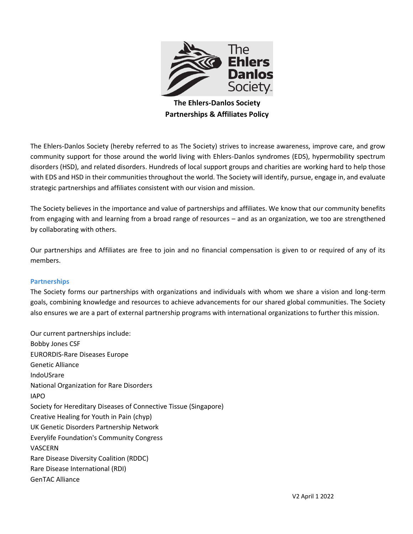

**The Ehlers-Danlos Society Partnerships & Affiliates Policy**

The Ehlers-Danlos Society (hereby referred to as The Society) strives to increase awareness, improve care, and grow community support for those around the world living with Ehlers-Danlos syndromes (EDS), hypermobility spectrum disorders (HSD), and related disorders. Hundreds of local support groups and charities are working hard to help those with EDS and HSD in their communities throughout the world. The Society will identify, pursue, engage in, and evaluate strategic partnerships and affiliates consistent with our vision and mission.

The Society believes in the importance and value of partnerships and affiliates. We know that our community benefits from engaging with and learning from a broad range of resources – and as an organization, we too are strengthened by collaborating with others.

Our partnerships and Affiliates are free to join and no financial compensation is given to or required of any of its members.

# **Partnerships**

The Society forms our partnerships with organizations and individuals with whom we share a vision and long-term goals, combining knowledge and resources to achieve advancements for our shared global communities. The Society also ensures we are a part of external partnership programs with international organizations to further this mission.

Our current partnerships include: Bobby Jones CSF EURORDIS-Rare Diseases Europe Genetic Alliance IndoUSrare National Organization for Rare Disorders IAPO Society for Hereditary Diseases of Connective Tissue (Singapore) Creative Healing for Youth in Pain (chyp) UK Genetic Disorders Partnership Network Everylife Foundation's Community Congress VASCERN Rare Disease Diversity Coalition (RDDC) Rare Disease International (RDI) GenTAC Alliance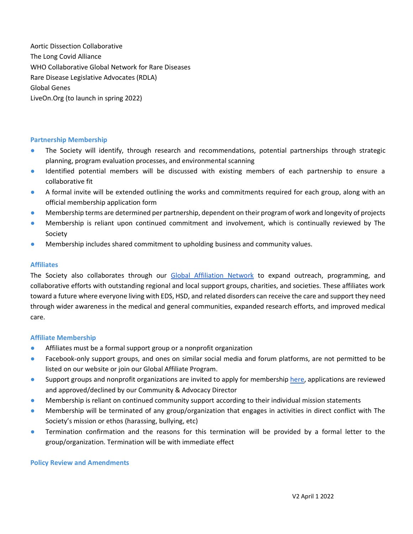Aortic Dissection Collaborative The Long Covid Alliance WHO Collaborative Global Network for Rare Diseases Rare Disease Legislative Advocates (RDLA) Global Genes LiveOn.Org (to launch in spring 2022)

### **Partnership Membership**

- The Society will identify, through research and recommendations, potential partnerships through strategic planning, program evaluation processes, and environmental scanning
- Identified potential members will be discussed with existing members of each partnership to ensure a collaborative fit
- A formal invite will be extended outlining the works and commitments required for each group, along with an official membership application form
- Membership terms are determined per partnership, dependent on their program of work and longevity of projects
- Membership is reliant upon continued commitment and involvement, which is continually reviewed by The Society
- Membership includes shared commitment to upholding business and community values.

# **Affiliates**

The Society also collaborates through our [Global Affiliation Network](https://www.ehlers-danlos.com/affiliates-support-groups-and-charities/) to expand outreach, programming, and collaborative efforts with outstanding regional and local support groups, charities, and societies. These affiliates work toward a future where everyone living with EDS, HSD, and related disorders can receive the care and support they need through wider awareness in the medical and general communities, expanded research efforts, and improved medical care.

### **Affiliate Membership**

- Affiliates must be a formal support group or a nonprofit organization
- Facebook-only support groups, and ones on similar social media and forum platforms, are not permitted to be listed on our website or join our Global Affiliate Program.
- Support groups and nonprofit organizations are invited to apply for membership [here,](https://www.ehlers-danlos.com/support-group-listing-request/) applications are reviewed and approved/declined by our Community & Advocacy Director
- Membership is reliant on continued community support according to their individual mission statements
- Membership will be terminated of any group/organization that engages in activities in direct conflict with The Society's mission or ethos (harassing, bullying, etc)
- Termination confirmation and the reasons for this termination will be provided by a formal letter to the group/organization. Termination will be with immediate effect

### **Policy Review and Amendments**